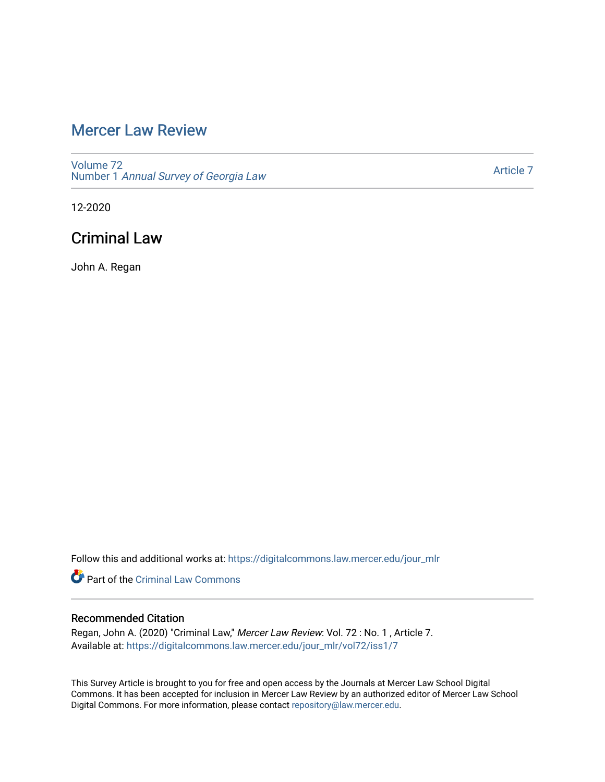# [Mercer Law Review](https://digitalcommons.law.mercer.edu/jour_mlr)

[Volume 72](https://digitalcommons.law.mercer.edu/jour_mlr/vol72) Number 1 [Annual Survey of Georgia Law](https://digitalcommons.law.mercer.edu/jour_mlr/vol72/iss1) 

[Article 7](https://digitalcommons.law.mercer.edu/jour_mlr/vol72/iss1/7) 

12-2020

## Criminal Law

John A. Regan

Follow this and additional works at: [https://digitalcommons.law.mercer.edu/jour\\_mlr](https://digitalcommons.law.mercer.edu/jour_mlr?utm_source=digitalcommons.law.mercer.edu%2Fjour_mlr%2Fvol72%2Fiss1%2F7&utm_medium=PDF&utm_campaign=PDFCoverPages)

Part of the [Criminal Law Commons](http://network.bepress.com/hgg/discipline/912?utm_source=digitalcommons.law.mercer.edu%2Fjour_mlr%2Fvol72%2Fiss1%2F7&utm_medium=PDF&utm_campaign=PDFCoverPages) 

## Recommended Citation

Regan, John A. (2020) "Criminal Law," Mercer Law Review: Vol. 72 : No. 1 , Article 7. Available at: [https://digitalcommons.law.mercer.edu/jour\\_mlr/vol72/iss1/7](https://digitalcommons.law.mercer.edu/jour_mlr/vol72/iss1/7?utm_source=digitalcommons.law.mercer.edu%2Fjour_mlr%2Fvol72%2Fiss1%2F7&utm_medium=PDF&utm_campaign=PDFCoverPages)

This Survey Article is brought to you for free and open access by the Journals at Mercer Law School Digital Commons. It has been accepted for inclusion in Mercer Law Review by an authorized editor of Mercer Law School Digital Commons. For more information, please contact [repository@law.mercer.edu](mailto:repository@law.mercer.edu).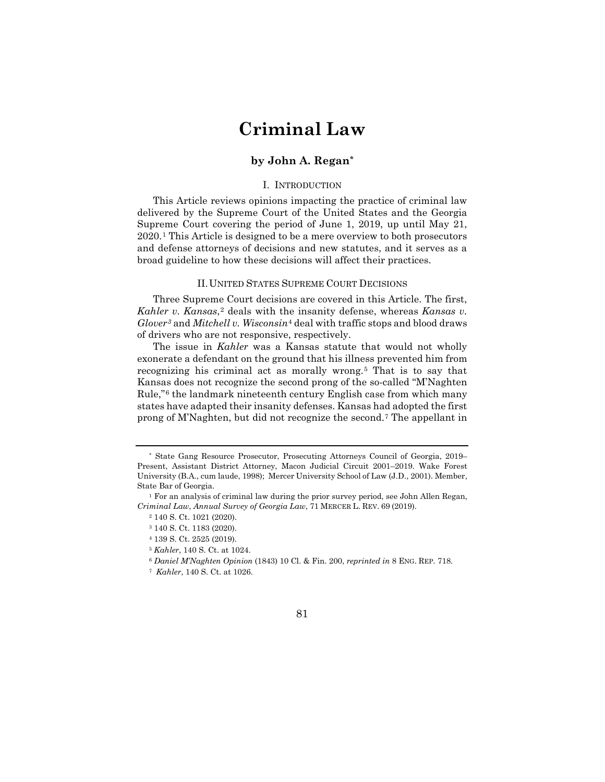# **Criminal Law**

## **by John A. Rega[n\\*](#page-1-0)**

#### I. INTRODUCTION

This Article reviews opinions impacting the practice of criminal law delivered by the Supreme Court of the United States and the Georgia Supreme Court covering the period of June 1, 2019, up until May 21, 2020.[1](#page-1-1) This Article is designed to be a mere overview to both prosecutors and defense attorneys of decisions and new statutes, and it serves as a broad guideline to how these decisions will affect their practices.

#### II.UNITED STATES SUPREME COURT DECISIONS

Three Supreme Court decisions are covered in this Article. The first, *Kahler v. Kansas*,<sup>[2](#page-1-2)</sup> deals with the insanity defense, whereas *Kansas v. Glover[3](#page-1-3)* and *Mitchell v. Wisconsin*[4](#page-1-4) deal with traffic stops and blood draws of drivers who are not responsive, respectively.

The issue in *Kahler* was a Kansas statute that would not wholly exonerate a defendant on the ground that his illness prevented him from recognizing his criminal act as morally wrong.[5](#page-1-5) That is to say that Kansas does not recognize the second prong of the so-called "M'Naghten Rule,"[6](#page-1-6) the landmark nineteenth century English case from which many states have adapted their insanity defenses. Kansas had adopted the first prong of M'Naghten, but did not recognize the second.[7](#page-1-7) The appellant in

<span id="page-1-7"></span><sup>7</sup> *Kahler*, 140 S. Ct. at 1026.

#### 81

<span id="page-1-0"></span><sup>\*</sup> State Gang Resource Prosecutor, Prosecuting Attorneys Council of Georgia, 2019– Present, Assistant District Attorney, Macon Judicial Circuit 2001–2019. Wake Forest University (B.A., cum laude, 1998); Mercer University School of Law (J.D., 2001). Member, State Bar of Georgia.

<span id="page-1-5"></span><span id="page-1-4"></span><span id="page-1-3"></span><span id="page-1-2"></span><span id="page-1-1"></span><sup>&</sup>lt;sup>1</sup> For an analysis of criminal law during the prior survey period, see John Allen Regan, *Criminal Law*, *Annual Survey of Georgia Law*, 71 MERCER L. REV. 69 (2019).

<sup>2</sup> 140 S. Ct. 1021 (2020).

<sup>3</sup> 140 S. Ct. 1183 (2020).

<sup>4</sup> 139 S. Ct. 2525 (2019).

<sup>5</sup> *Kahler*, 140 S. Ct. at 1024.

<span id="page-1-6"></span><sup>6</sup> *Daniel M'Naghten Opinion* (1843) 10 Cl. & Fin. 200, *reprinted in* 8 ENG. REP. 718.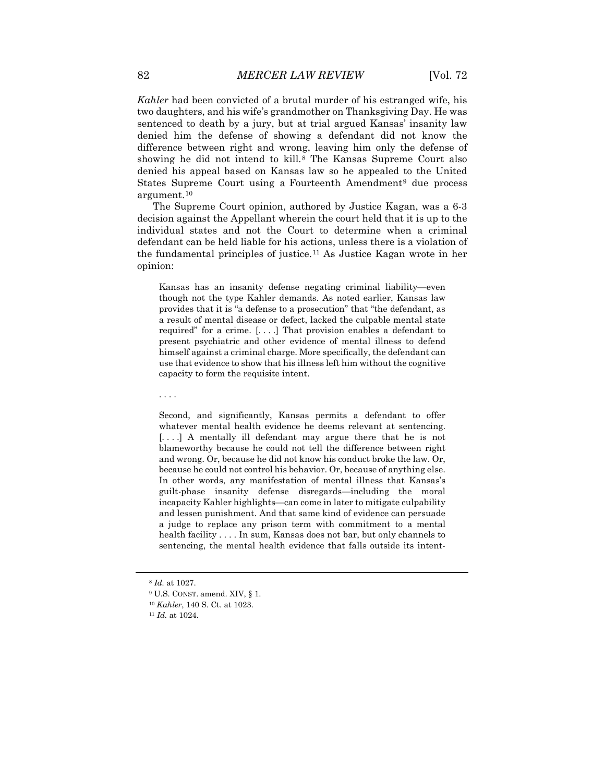*Kahler* had been convicted of a brutal murder of his estranged wife, his two daughters, and his wife's grandmother on Thanksgiving Day. He was sentenced to death by a jury, but at trial argued Kansas' insanity law denied him the defense of showing a defendant did not know the difference between right and wrong, leaving him only the defense of showing he did not intend to kill.<sup>[8](#page-2-0)</sup> The Kansas Supreme Court also denied his appeal based on Kansas law so he appealed to the United States Supreme Court using a Fourteenth Amendment<sup>[9](#page-2-1)</sup> due process argument.[10](#page-2-2)

The Supreme Court opinion, authored by Justice Kagan, was a 6-3 decision against the Appellant wherein the court held that it is up to the individual states and not the Court to determine when a criminal defendant can be held liable for his actions, unless there is a violation of the fundamental principles of justice.[11](#page-2-3) As Justice Kagan wrote in her opinion:

Kansas has an insanity defense negating criminal liability—even though not the type Kahler demands. As noted earlier, Kansas law provides that it is "a defense to a prosecution" that "the defendant, as a result of mental disease or defect, lacked the culpable mental state required" for a crime. [. . . .] That provision enables a defendant to present psychiatric and other evidence of mental illness to defend himself against a criminal charge. More specifically, the defendant can use that evidence to show that his illness left him without the cognitive capacity to form the requisite intent.

. . . .

Second, and significantly, Kansas permits a defendant to offer whatever mental health evidence he deems relevant at sentencing. [...] A mentally ill defendant may argue there that he is not blameworthy because he could not tell the difference between right and wrong. Or, because he did not know his conduct broke the law. Or, because he could not control his behavior. Or, because of anything else. In other words, any manifestation of mental illness that Kansas's guilt-phase insanity defense disregards—including the moral incapacity Kahler highlights—can come in later to mitigate culpability and lessen punishment. And that same kind of evidence can persuade a judge to replace any prison term with commitment to a mental health facility . . . . In sum, Kansas does not bar, but only channels to sentencing, the mental health evidence that falls outside its intent-

<span id="page-2-0"></span><sup>8</sup> *Id.* at 1027.

<span id="page-2-2"></span><span id="page-2-1"></span><sup>9</sup> U.S. CONST. amend. XIV, § 1.

<sup>10</sup> *Kahler*, 140 S. Ct. at 1023.

<span id="page-2-3"></span><sup>11</sup> *Id.* at 1024.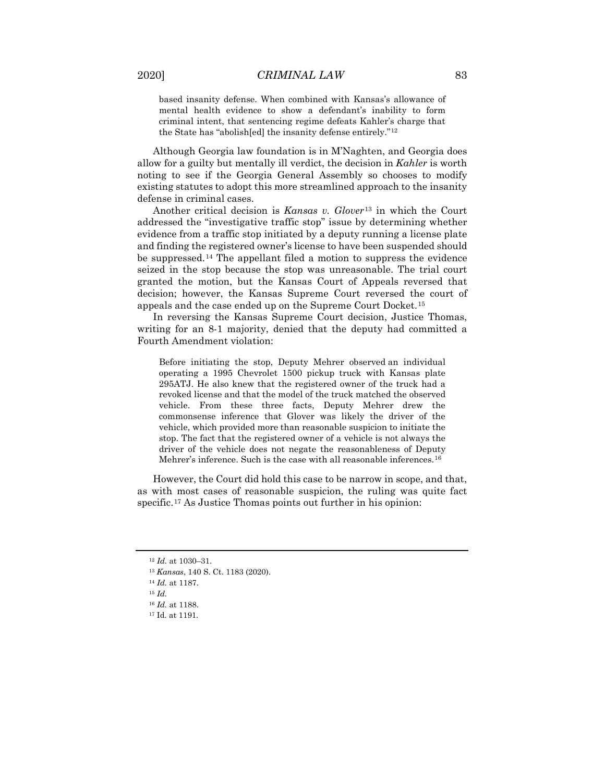based insanity defense. When combined with Kansas's allowance of mental health evidence to show a defendant's inability to form criminal intent, that sentencing regime defeats Kahler's charge that the State has "abolish[ed] the insanity defense entirely."[12](#page-3-0)

Although Georgia law foundation is in M'Naghten, and Georgia does allow for a guilty but mentally ill verdict, the decision in *Kahler* is worth noting to see if the Georgia General Assembly so chooses to modify existing statutes to adopt this more streamlined approach to the insanity defense in criminal cases.

Another critical decision is *Kansas v. Glover*[13](#page-3-1) in which the Court addressed the "investigative traffic stop" issue by determining whether evidence from a traffic stop initiated by a deputy running a license plate and finding the registered owner's license to have been suspended should be suppressed.[14](#page-3-2) The appellant filed a motion to suppress the evidence seized in the stop because the stop was unreasonable. The trial court granted the motion, but the Kansas Court of Appeals reversed that decision; however, the Kansas Supreme Court reversed the court of appeals and the case ended up on the Supreme Court Docket.[15](#page-3-3)

In reversing the Kansas Supreme Court decision, Justice Thomas, writing for an 8-1 majority, denied that the deputy had committed a Fourth Amendment violation:

Before initiating the stop, Deputy Mehrer observed an individual operating a 1995 Chevrolet 1500 pickup truck with Kansas plate 295ATJ. He also knew that the registered owner of the truck had a revoked license and that the model of the truck matched the observed vehicle. From these three facts, Deputy Mehrer drew the commonsense inference that Glover was likely the driver of the vehicle, which provided more than reasonable suspicion to initiate the stop. The fact that the registered owner of a vehicle is not always the driver of the vehicle does not negate the reasonableness of Deputy Mehrer's inference. Such is the case with all reasonable inferences.<sup>[16](#page-3-4)</sup>

However, the Court did hold this case to be narrow in scope, and that, as with most cases of reasonable suspicion, the ruling was quite fact specific.<sup>[17](#page-3-5)</sup> As Justice Thomas points out further in his opinion:

<sup>12</sup> *Id.* at 1030–31.

<span id="page-3-2"></span><span id="page-3-1"></span><span id="page-3-0"></span><sup>13</sup> *Kansas*, 140 S. Ct. 1183 (2020).

<sup>14</sup> *Id.* at 1187.

<span id="page-3-3"></span><sup>15</sup> *Id.*

<span id="page-3-4"></span><sup>16</sup> *Id.* at 1188.

<span id="page-3-5"></span><sup>17</sup> Id. at 1191.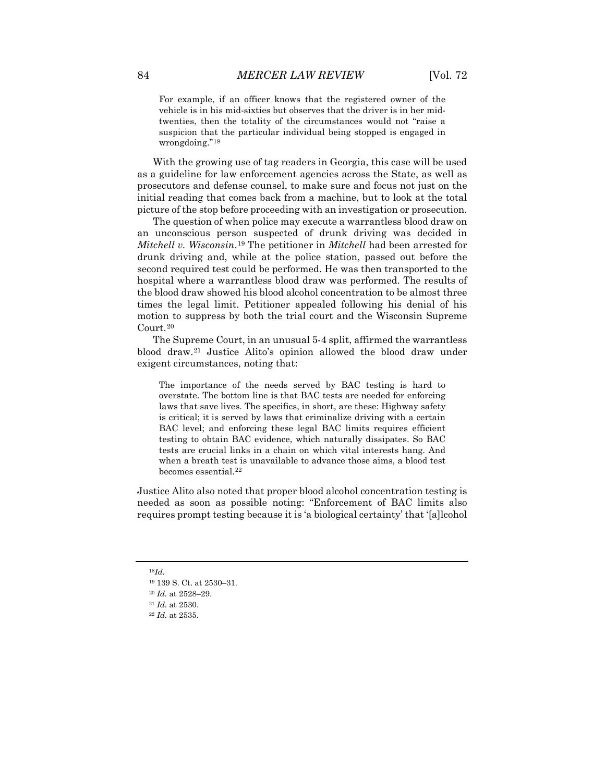For example, if an officer knows that the registered owner of the vehicle is in his mid-sixties but observes that the driver is in her midtwenties, then the totality of the circumstances would not "raise a suspicion that the particular individual being stopped is engaged in wrongdoing."[18](#page-4-0)

With the growing use of tag readers in Georgia, this case will be used as a guideline for law enforcement agencies across the State, as well as prosecutors and defense counsel, to make sure and focus not just on the initial reading that comes back from a machine, but to look at the total picture of the stop before proceeding with an investigation or prosecution.

The question of when police may execute a warrantless blood draw on an unconscious person suspected of drunk driving was decided in *Mitchell v. Wisconsin*.[19](#page-4-1) The petitioner in *Mitchell* had been arrested for drunk driving and, while at the police station, passed out before the second required test could be performed. He was then transported to the hospital where a warrantless blood draw was performed. The results of the blood draw showed his blood alcohol concentration to be almost three times the legal limit. Petitioner appealed following his denial of his motion to suppress by both the trial court and the Wisconsin Supreme Court.[20](#page-4-2)

The Supreme Court, in an unusual 5-4 split, affirmed the warrantless blood draw.[21](#page-4-3) Justice Alito's opinion allowed the blood draw under exigent circumstances, noting that:

The importance of the needs served by BAC testing is hard to overstate. The bottom line is that BAC tests are needed for enforcing laws that save lives. The specifics, in short, are these: Highway safety is critical; it is served by laws that criminalize driving with a certain BAC level; and enforcing these legal BAC limits requires efficient testing to obtain BAC evidence, which naturally dissipates. So BAC tests are crucial links in a chain on which vital interests hang. And when a breath test is unavailable to advance those aims, a blood test becomes essential.[22](#page-4-4)

Justice Alito also noted that proper blood alcohol concentration testing is needed as soon as possible noting: "Enforcement of BAC limits also requires prompt testing because it is 'a biological certainty' that '[a]lcohol

<span id="page-4-1"></span><span id="page-4-0"></span><sup>18</sup>*Id.*

<sup>19</sup> 139 S. Ct. at 2530–31.

<span id="page-4-2"></span><sup>20</sup> *Id.* at 2528–29.

<span id="page-4-4"></span><span id="page-4-3"></span><sup>21</sup> *Id.* at 2530.

<sup>22</sup> *Id.* at 2535.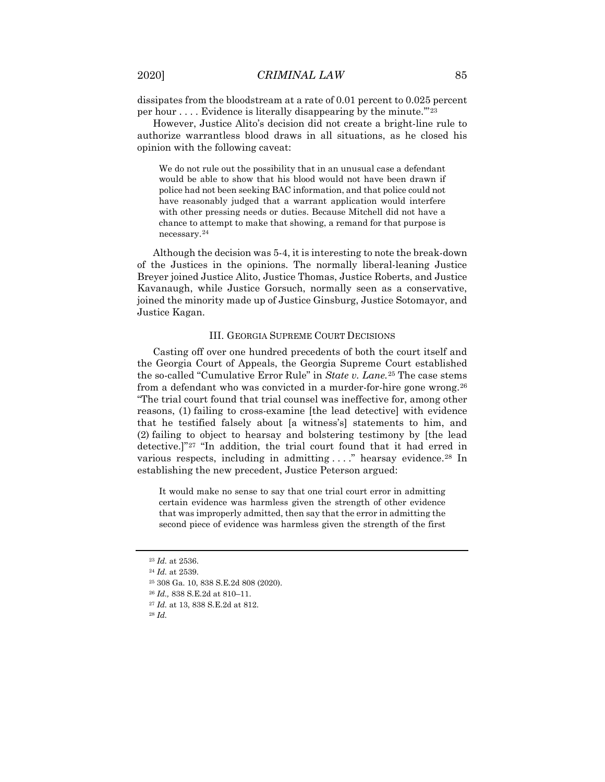dissipates from the bloodstream at a rate of 0.01 percent to 0.025 percent per hour  $\dots$ . Evidence is literally disappearing by the minute.<sup>"[23](#page-5-0)</sup>

However, Justice Alito's decision did not create a bright-line rule to authorize warrantless blood draws in all situations, as he closed his opinion with the following caveat:

We do not rule out the possibility that in an unusual case a defendant would be able to show that his blood would not have been drawn if police had not been seeking BAC information, and that police could not have reasonably judged that a warrant application would interfere with other pressing needs or duties. Because Mitchell did not have a chance to attempt to make that showing, a remand for that purpose is necessary.[24](#page-5-1)

Although the decision was 5-4, it is interesting to note the break-down of the Justices in the opinions. The normally liberal-leaning Justice Breyer joined Justice Alito, Justice Thomas, Justice Roberts, and Justice Kavanaugh, while Justice Gorsuch, normally seen as a conservative, joined the minority made up of Justice Ginsburg, Justice Sotomayor, and Justice Kagan.

#### III. GEORGIA SUPREME COURT DECISIONS

Casting off over one hundred precedents of both the court itself and the Georgia Court of Appeals, the Georgia Supreme Court established the so-called "Cumulative Error Rule" in *State v. Lane.*[25](#page-5-2) The case stems from a defendant who was convicted in a murder-for-hire gone wrong.<sup>[26](#page-5-3)</sup> "The trial court found that trial counsel was ineffective for, among other reasons, (1) failing to cross-examine [the lead detective] with evidence that he testified falsely about [a witness's] statements to him, and (2) failing to object to hearsay and bolstering testimony by [the lead detective.]"[27](#page-5-4) "In addition, the trial court found that it had erred in various respects, including in admitting ...." hearsay evidence.<sup>[28](#page-5-5)</sup> In establishing the new precedent, Justice Peterson argued:

It would make no sense to say that one trial court error in admitting certain evidence was harmless given the strength of other evidence that was improperly admitted, then say that the error in admitting the second piece of evidence was harmless given the strength of the first

<sup>23</sup> *Id.* at 2536.

<span id="page-5-2"></span><span id="page-5-1"></span><span id="page-5-0"></span><sup>24</sup> *Id.* at 2539.

<span id="page-5-3"></span><sup>25</sup> 308 Ga. 10, 838 S.E.2d 808 (2020).

<sup>26</sup> *Id.,* 838 S.E.2d at 810–11.

<sup>27</sup> *Id.* at 13, 838 S.E.2d at 812.

<span id="page-5-5"></span><span id="page-5-4"></span><sup>28</sup> *Id.*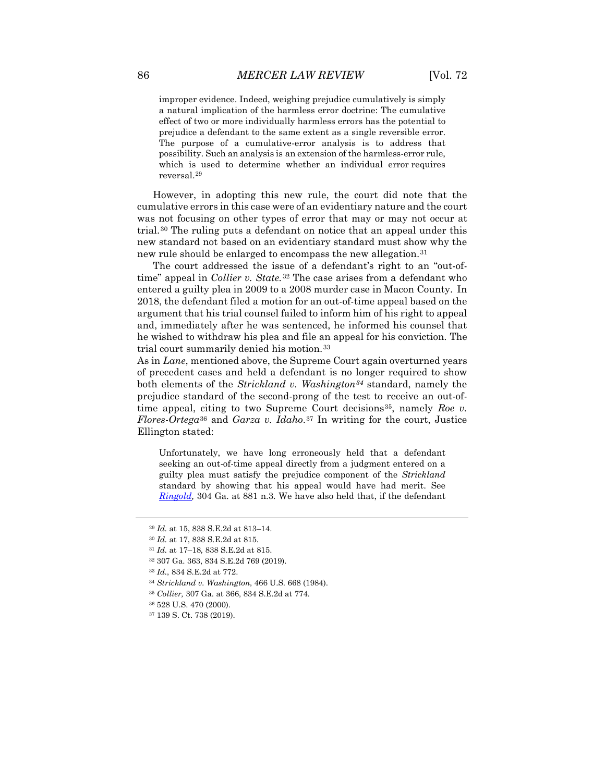improper evidence. Indeed, weighing prejudice cumulatively is simply a natural implication of the harmless error doctrine: The cumulative effect of two or more individually harmless errors has the potential to prejudice a defendant to the same extent as a single reversible error. The purpose of a cumulative-error analysis is to address that possibility. Such an analysis is an extension of the harmless-error rule, which is used to determine whether an individual error requires reversal.[29](#page-6-0)

However, in adopting this new rule, the court did note that the cumulative errors in this case were of an evidentiary nature and the court was not focusing on other types of error that may or may not occur at trial.[30](#page-6-1) The ruling puts a defendant on notice that an appeal under this new standard not based on an evidentiary standard must show why the new rule should be enlarged to encompass the new allegation.[31](#page-6-2)

The court addressed the issue of a defendant's right to an "out-oftime" appeal in *Collier v. State.*[32](#page-6-3) The case arises from a defendant who entered a guilty plea in 2009 to a 2008 murder case in Macon County. In 2018, the defendant filed a motion for an out-of-time appeal based on the argument that his trial counsel failed to inform him of his right to appeal and, immediately after he was sentenced, he informed his counsel that he wished to withdraw his plea and file an appeal for his conviction*.* The trial court summarily denied his motion.[33](#page-6-4)

As in *Lane*, mentioned above, the Supreme Court again overturned years of precedent cases and held a defendant is no longer required to show both elements of the *Strickland v. Washington[34](#page-6-5)* standard, namely the prejudice standard of the second-prong of the test to receive an out-oftime appeal, citing to two Supreme Court decisions<sup>35</sup>, namely *Roe v. Flores-Ortega*[36](#page-6-7) and *Garza v. Idaho*.[37](#page-6-8) In writing for the court, Justice Ellington stated:

Unfortunately, we have long erroneously held that a defendant seeking an out-of-time appeal directly from a judgment entered on a guilty plea must satisfy the prejudice component of the *Strickland* standard by showing that his appeal would have had merit. See *[Ringold,](https://advance.lexis.com/api/document?collection=cases&id=urn:contentItem:5V7Y-5YN1-JSXV-G1H2-00000-00&context=)* 304 Ga. at 881 n.3*.* We have also held that, if the defendant

<span id="page-6-0"></span><sup>29</sup> *Id.* at 15, 838 S.E.2d at 813–14.

<span id="page-6-2"></span><span id="page-6-1"></span><sup>30</sup> *Id.* at 17, 838 S.E.2d at 815.

<sup>31</sup> *Id.* at 17–18*,* 838 S.E.2d at 815.

<span id="page-6-3"></span><sup>32</sup> 307 Ga. 363, 834 S.E.2d 769 (2019).

<span id="page-6-4"></span><sup>33</sup> *Id.*, 834 S.E.2d at 772.

<span id="page-6-5"></span><sup>34</sup> *Strickland v. Washington*, 466 U.S. 668 (1984).

<span id="page-6-6"></span><sup>35</sup> *Collier,* 307 Ga. at 366, 834 S.E.2d at 774.

<sup>36</sup> 528 U.S. 470 (2000).

<span id="page-6-8"></span><span id="page-6-7"></span><sup>37</sup> 139 S. Ct. 738 (2019).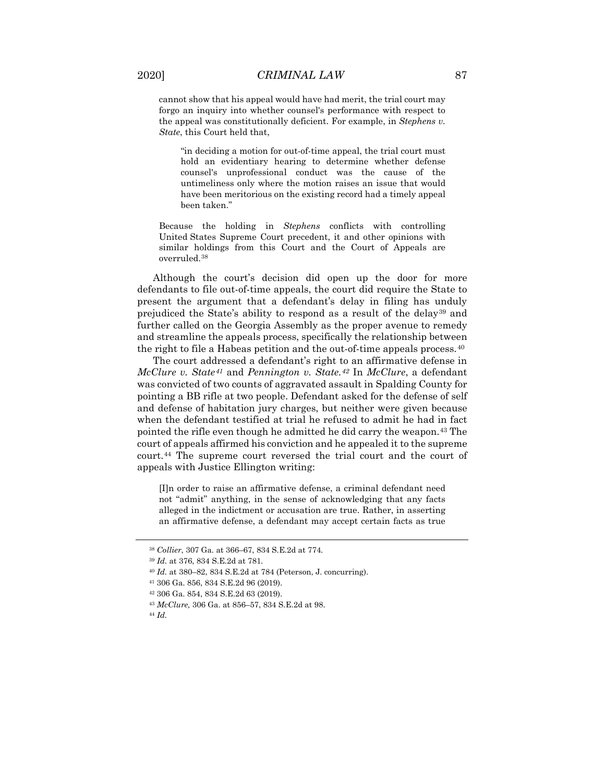cannot show that his appeal would have had merit, the trial court may forgo an inquiry into whether counsel's performance with respect to the appeal was constitutionally deficient. For example, in *Stephens v. State*, this Court held that,

"in deciding a motion for out-of-time appeal, the trial court must hold an evidentiary hearing to determine whether defense counsel's unprofessional conduct was the cause of the untimeliness only where the motion raises an issue that would have been meritorious on the existing record had a timely appeal been taken."

Because the holding in *Stephens* conflicts with controlling United States Supreme Court precedent, it and other opinions with similar holdings from this Court and the Court of Appeals are overruled.[38](#page-7-0)

Although the court's decision did open up the door for more defendants to file out-of-time appeals, the court did require the State to present the argument that a defendant's delay in filing has unduly prejudiced the State's ability to respond as a result of the delay<sup>[39](#page-7-1)</sup> and further called on the Georgia Assembly as the proper avenue to remedy and streamline the appeals process, specifically the relationship between the right to file a Habeas petition and the out-of-time appeals process.[40](#page-7-2)

The court addressed a defendant's right to an affirmative defense in *McClure v. State[41](#page-7-3)* and *Pennington v. State.[42](#page-7-4)* In *McClure*, a defendant was convicted of two counts of aggravated assault in Spalding County for pointing a BB rifle at two people. Defendant asked for the defense of self and defense of habitation jury charges, but neither were given because when the defendant testified at trial he refused to admit he had in fact pointed the rifle even though he admitted he did carry the weapon.[43](#page-7-5) The court of appeals affirmed his conviction and he appealed it to the supreme court.[44](#page-7-6) The supreme court reversed the trial court and the court of appeals with Justice Ellington writing:

[I]n order to raise an affirmative defense, a criminal defendant need not "admit" anything, in the sense of acknowledging that any facts alleged in the indictment or accusation are true. Rather, in asserting an affirmative defense, a defendant may accept certain facts as true

<sup>38</sup> *Collier*, 307 Ga. at 366–67, 834 S.E.2d at 774.

<span id="page-7-2"></span><span id="page-7-1"></span><span id="page-7-0"></span><sup>39</sup> *Id.* at 376, 834 S.E.2d at 781.

<sup>40</sup> *Id.* at 380–82, 834 S.E.2d at 784 (Peterson, J. concurring).

<span id="page-7-3"></span><sup>41</sup> 306 Ga. 856, 834 S.E.2d 96 (2019).

<span id="page-7-4"></span><sup>42</sup> 306 Ga. 854, 834 S.E.2d 63 (2019).

<span id="page-7-5"></span><sup>43</sup> *McClure,* 306 Ga. at 856–57, 834 S.E.2d at 98.

<span id="page-7-6"></span><sup>44</sup> *Id.*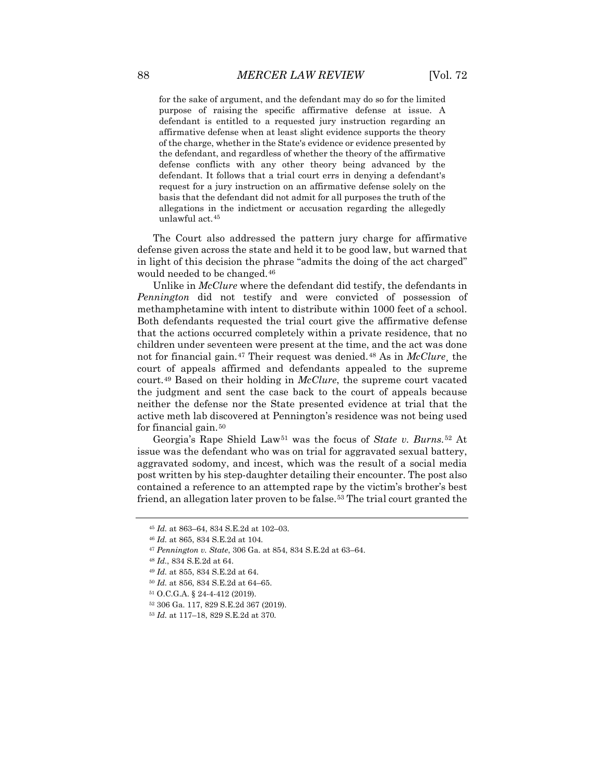for the sake of argument, and the defendant may do so for the limited purpose of raising the specific affirmative defense at issue. A defendant is entitled to a requested jury instruction regarding an affirmative defense when at least slight evidence supports the theory of the charge, whether in the State's evidence or evidence presented by the defendant, and regardless of whether the theory of the affirmative defense conflicts with any other theory being advanced by the defendant. It follows that a trial court errs in denying a defendant's request for a jury instruction on an affirmative defense solely on the basis that the defendant did not admit for all purposes the truth of the allegations in the indictment or accusation regarding the allegedly unlawful act.[45](#page-8-0)

The Court also addressed the pattern jury charge for affirmative defense given across the state and held it to be good law, but warned that in light of this decision the phrase "admits the doing of the act charged" would needed to be changed.[46](#page-8-1)

Unlike in *McClure* where the defendant did testify, the defendants in *Pennington* did not testify and were convicted of possession of methamphetamine with intent to distribute within 1000 feet of a school. Both defendants requested the trial court give the affirmative defense that the actions occurred completely within a private residence, that no children under seventeen were present at the time, and the act was done not for financial gain.[47](#page-8-2) Their request was denied.[48](#page-8-3) As in *McClure*¸ the court of appeals affirmed and defendants appealed to the supreme court.[49](#page-8-4) Based on their holding in *McClure*, the supreme court vacated the judgment and sent the case back to the court of appeals because neither the defense nor the State presented evidence at trial that the active meth lab discovered at Pennington's residence was not being used for financial gain.[50](#page-8-5)

Georgia's Rape Shield Law[51](#page-8-6) was the focus of *State v. Burns.*[52](#page-8-7) At issue was the defendant who was on trial for aggravated sexual battery, aggravated sodomy, and incest, which was the result of a social media post written by his step-daughter detailing their encounter. The post also contained a reference to an attempted rape by the victim's brother's best friend, an allegation later proven to be false.<sup>[53](#page-8-8)</sup> The trial court granted the

- <span id="page-8-6"></span><sup>51</sup> O.C.G.A. § 24-4-412 (2019).
- <sup>52</sup> 306 Ga. 117, 829 S.E.2d 367 (2019).

<span id="page-8-0"></span><sup>45</sup> *Id.* at 863–64, 834 S.E.2d at 102–03.

<span id="page-8-1"></span><sup>46</sup> *Id.* at 865, 834 S.E.2d at 104.

<span id="page-8-2"></span><sup>47</sup> *Pennington v. State*, 306 Ga. at 854, 834 S.E.2d at 63–64.

<span id="page-8-3"></span><sup>48</sup> *Id.*, 834 S.E.2d at 64.

<span id="page-8-4"></span><sup>49</sup> *Id.* at 855, 834 S.E.2d at 64.

<span id="page-8-5"></span><sup>50</sup> *Id.* at 856, 834 S.E.2d at 64–65.

<span id="page-8-8"></span><span id="page-8-7"></span><sup>53</sup> *Id.* at 117–18, 829 S.E.2d at 370.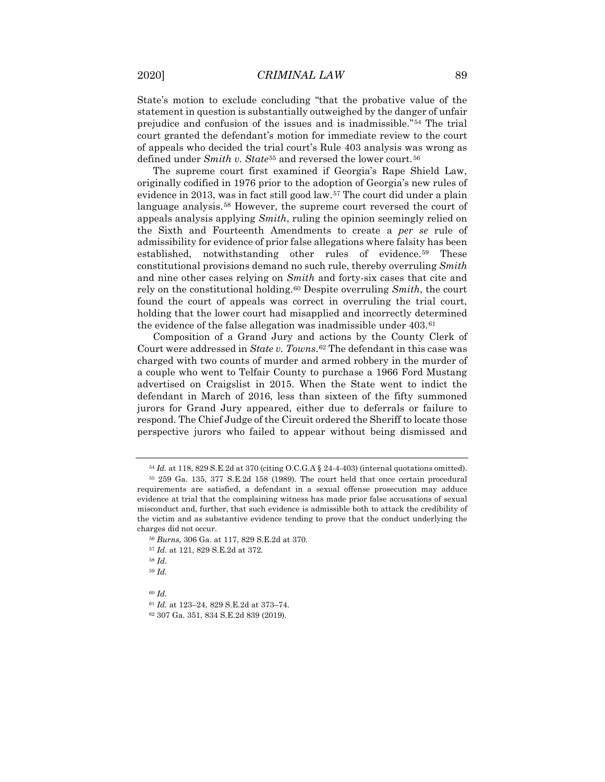State's motion to exclude concluding "that the probative value of the statement in question is substantially outweighed by the danger of unfair prejudice and confusion of the issues and is inadmissible."[54](#page-9-0) The trial court granted the defendant's motion for immediate review to the court of appeals who decided the trial court's Rule 403 analysis was wrong as defined under *Smith v. State*<sup>[55](#page-9-1)</sup> and reversed the lower court.<sup>[56](#page-9-2)</sup>

The supreme court first examined if Georgia's Rape Shield Law, originally codified in 1976 prior to the adoption of Georgia's new rules of evidence in 2013, was in fact still good law.<sup>[57](#page-9-3)</sup> The court did under a plain language analysis.<sup>[58](#page-9-4)</sup> However, the supreme court reversed the court of appeals analysis applying *Smith*, ruling the opinion seemingly relied on the Sixth and Fourteenth Amendments to create a *per se* rule of admissibility for evidence of prior false allegations where falsity has been established, notwithstanding other rules of evidence.[59](#page-9-5) These constitutional provisions demand no such rule, thereby overruling *Smith* and nine other cases relying on *Smith* and forty-six cases that cite and rely on the constitutional holding.[60](#page-9-6) Despite overruling *Smith*, the court found the court of appeals was correct in overruling the trial court, holding that the lower court had misapplied and incorrectly determined the evidence of the false allegation was inadmissible under 403.[61](#page-9-7)

Composition of a Grand Jury and actions by the County Clerk of Court were addressed in *State v. Towns*.[62](#page-9-8) The defendant in this case was charged with two counts of murder and armed robbery in the murder of a couple who went to Telfair County to purchase a 1966 Ford Mustang advertised on Craigslist in 2015. When the State went to indict the defendant in March of 2016, less than sixteen of the fifty summoned jurors for Grand Jury appeared, either due to deferrals or failure to respond. The Chief Judge of the Circuit ordered the Sheriff to locate those perspective jurors who failed to appear without being dismissed and

<span id="page-9-3"></span><sup>57</sup> *Id.* at 121, 829 S.E.2d at 372.

<span id="page-9-5"></span><span id="page-9-4"></span><sup>58</sup> *Id.*

<sup>59</sup> *Id.*

<span id="page-9-6"></span><sup>60</sup> *Id.*

<sup>54</sup> *Id.* at 118, 829 S.E.2d at 370 (citing O.C.G.A § 24-4-403) (internal quotations omitted).

<span id="page-9-1"></span><span id="page-9-0"></span><sup>55</sup> 259 Ga. 135, 377 S.E.2d 158 (1989). The court held that once certain procedural requirements are satisfied, a defendant in a sexual offense prosecution may adduce evidence at trial that the complaining witness has made prior false accusations of sexual misconduct and, further, that such evidence is admissible both to attack the credibility of the victim and as substantive evidence tending to prove that the conduct underlying the charges did not occur.

<span id="page-9-2"></span><sup>56</sup> *Burns,* 306 Ga. at 117, 829 S.E.2d at 370.

<sup>61</sup> *Id.* at 123–24, 829 S.E.2d at 373–74.

<span id="page-9-8"></span><span id="page-9-7"></span><sup>62</sup> 307 Ga. 351, 834 S.E.2d 839 (2019).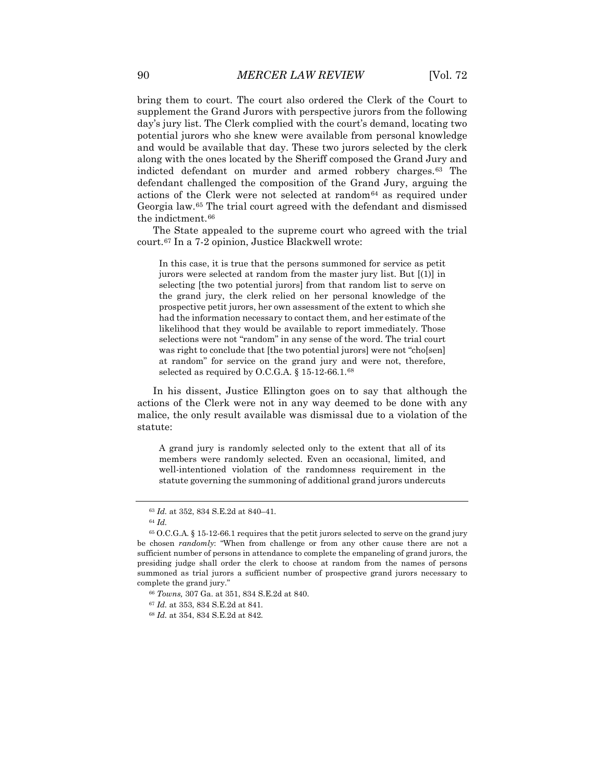bring them to court. The court also ordered the Clerk of the Court to supplement the Grand Jurors with perspective jurors from the following day's jury list. The Clerk complied with the court's demand, locating two potential jurors who she knew were available from personal knowledge and would be available that day. These two jurors selected by the clerk along with the ones located by the Sheriff composed the Grand Jury and indicted defendant on murder and armed robbery charges.[63](#page-10-0) The defendant challenged the composition of the Grand Jury, arguing the actions of the Clerk were not selected at random<sup>[64](#page-10-1)</sup> as required under Georgia law.[65](#page-10-2) The trial court agreed with the defendant and dismissed the indictment.<sup>[66](#page-10-3)</sup>

The State appealed to the supreme court who agreed with the trial court.[67](#page-10-4) In a 7-2 opinion, Justice Blackwell wrote:

In this case, it is true that the persons summoned for service as petit jurors were selected at random from the master jury list. But [(1)] in selecting [the two potential jurors] from that random list to serve on the grand jury, the clerk relied on her personal knowledge of the prospective petit jurors, her own assessment of the extent to which she had the information necessary to contact them, and her estimate of the likelihood that they would be available to report immediately. Those selections were not "random" in any sense of the word. The trial court was right to conclude that [the two potential jurors] were not "cho[sen] at random" for service on the grand jury and were not, therefore, selected as required by O.C.G.A. § 15-12-66.1.[68](#page-10-5)

In his dissent, Justice Ellington goes on to say that although the actions of the Clerk were not in any way deemed to be done with any malice, the only result available was dismissal due to a violation of the statute:

A grand jury is randomly selected only to the extent that all of its members were randomly selected. Even an occasional, limited, and well-intentioned violation of the randomness requirement in the statute governing the summoning of additional grand jurors undercuts

<sup>63</sup> *Id.* at 352, 834 S.E.2d at 840–41.

<sup>64</sup> *Id.*

<span id="page-10-2"></span><span id="page-10-1"></span><span id="page-10-0"></span><sup>65</sup> O.C.G.A. § 15-12-66.1 requires that the petit jurors selected to serve on the grand jury be chosen *randomly*: "When from challenge or from any other cause there are not a sufficient number of persons in attendance to complete the empaneling of grand jurors, the presiding judge shall order the clerk to choose at random from the names of persons summoned as trial jurors a sufficient number of prospective grand jurors necessary to complete the grand jury."

<span id="page-10-4"></span><span id="page-10-3"></span><sup>66</sup> *Towns,* 307 Ga. at 351, 834 S.E.2d at 840.

<sup>67</sup> *Id.* at 353, 834 S.E.2d at 841.

<span id="page-10-5"></span><sup>68</sup> *Id.* at 354, 834 S.E.2d at 842.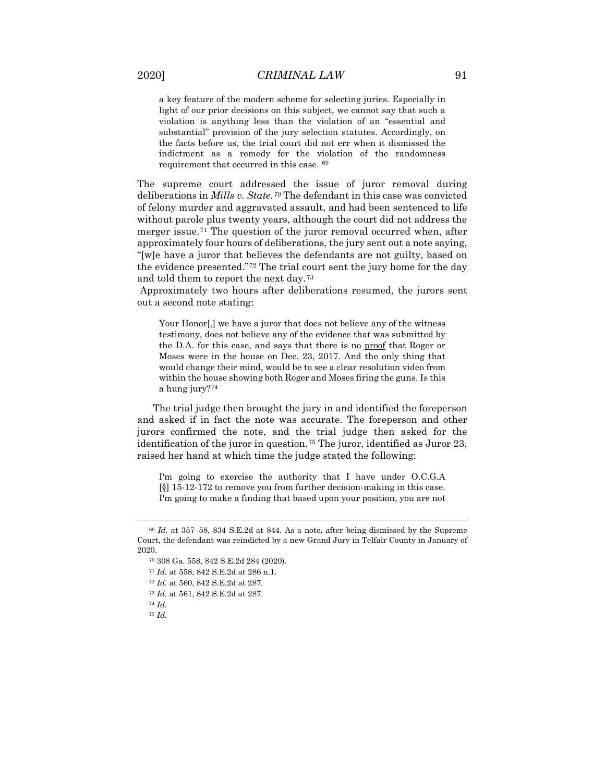a key feature of the modern scheme for selecting juries. Especially in light of our prior decisions on this subject, we cannot say that such a violation is anything less than the violation of an "essential and substantial" provision of the jury selection statutes. Accordingly, on the facts before us, the trial court did not err when it dismissed the indictment as a remedy for the violation of the randomness requirement that occurred in this case. [69](#page-11-0)

The supreme court addressed the issue of juror removal during deliberations in *Mills v. State.[70](#page-11-1)* The defendant in this case was convicted of felony murder and aggravated assault, and had been sentenced to life without parole plus twenty years, although the court did not address the merger issue.[71](#page-11-2) The question of the juror removal occurred when, after approximately four hours of deliberations, the jury sent out a note saying, "[w]e have a juror that believes the defendants are not guilty, based on the evidence presented."[72](#page-11-3) The trial court sent the jury home for the day and told them to report the next day.[73](#page-11-4)

Approximately two hours after deliberations resumed, the jurors sent out a second note stating:

Your Honor[,] we have a juror that does not believe any of the witness testimony, does not believe any of the evidence that was submitted by the D.A. for this case, and says that there is no proof that Roger or Moses were in the house on Dec. 23, 2017. And the only thing that would change their mind, would be to see a clear resolution video from within the house showing both Roger and Moses firing the guns. Is this a hung jury?[74](#page-11-5)

The trial judge then brought the jury in and identified the foreperson and asked if in fact the note was accurate. The foreperson and other jurors confirmed the note, and the trial judge then asked for the identification of the juror in question.[75](#page-11-6) The juror, identified as Juror 23, raised her hand at which time the judge stated the following:

I'm going to exercise the authority that I have under O.C.G.A [§] 15-12-172 to remove you from further decision-making in this case. I'm going to make a finding that based upon your position, you are not

<span id="page-11-3"></span><span id="page-11-2"></span><span id="page-11-1"></span><span id="page-11-0"></span><sup>69</sup> *Id.* at 357–58, 834 S.E.2d at 844. As a note, after being dismissed by the Supreme Court, the defendant was reindicted by a new Grand Jury in Telfair County in January of 2020.

<sup>70</sup> 308 Ga. 558, 842 S.E.2d 284 (2020).

<sup>71</sup> *Id.* at 558, 842 S.E.2d at 286 n.1.

<sup>72</sup> *Id.* at 560, 842 S.E.2d at 287.

<span id="page-11-4"></span><sup>73</sup> *Id.* at 561, 842 S.E.2d at 287.

<span id="page-11-6"></span><span id="page-11-5"></span><sup>74</sup> *Id.*

<sup>75</sup> *Id.*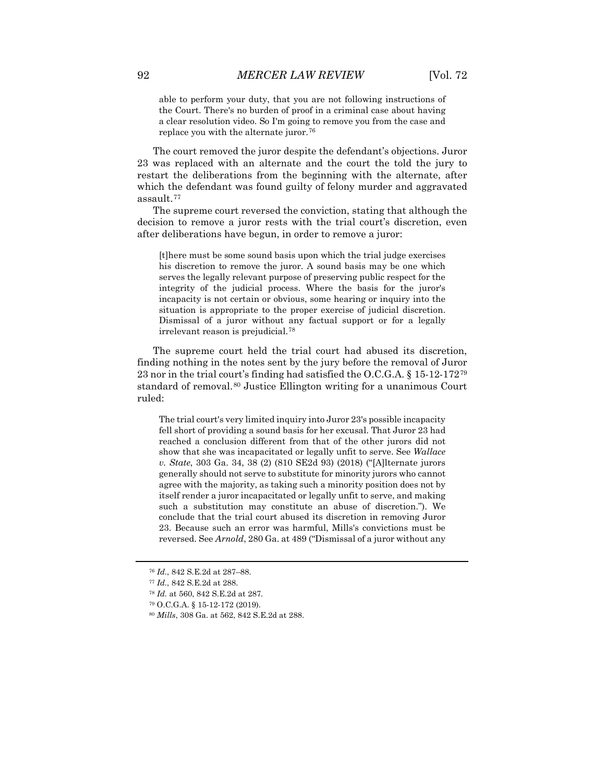able to perform your duty, that you are not following instructions of the Court. There's no burden of proof in a criminal case about having a clear resolution video. So I'm going to remove you from the case and replace you with the alternate juror.[76](#page-12-0)

The court removed the juror despite the defendant's objections. Juror 23 was replaced with an alternate and the court the told the jury to restart the deliberations from the beginning with the alternate, after which the defendant was found guilty of felony murder and aggravated assault.[77](#page-12-1)

The supreme court reversed the conviction, stating that although the decision to remove a juror rests with the trial court's discretion, even after deliberations have begun, in order to remove a juror:

[t]here must be some sound basis upon which the trial judge exercises his discretion to remove the juror. A sound basis may be one which serves the legally relevant purpose of preserving public respect for the integrity of the judicial process. Where the basis for the juror's incapacity is not certain or obvious, some hearing or inquiry into the situation is appropriate to the proper exercise of judicial discretion. Dismissal of a juror without any factual support or for a legally irrelevant reason is prejudicial.[78](#page-12-2)

The supreme court held the trial court had abused its discretion, finding nothing in the notes sent by the jury before the removal of Juror 23 nor in the trial court's finding had satisfied the O.C.G.A. § 15-12-172[79](#page-12-3) standard of removal.<sup>[80](#page-12-4)</sup> Justice Ellington writing for a unanimous Court ruled:

The trial court's very limited inquiry into Juror 23's possible incapacity fell short of providing a sound basis for her excusal. That Juror 23 had reached a conclusion different from that of the other jurors did not show that she was incapacitated or legally unfit to serve. See *Wallace v. State*, 303 Ga. 34, 38 (2) (810 SE2d 93) (2018) ("[A]lternate jurors generally should not serve to substitute for minority jurors who cannot agree with the majority, as taking such a minority position does not by itself render a juror incapacitated or legally unfit to serve, and making such a substitution may constitute an abuse of discretion."). We conclude that the trial court abused its discretion in removing Juror 23. Because such an error was harmful, Mills's convictions must be reversed. See *Arnold*, 280 Ga. at 489 ("Dismissal of a juror without any

<sup>76</sup> *Id.*, 842 S.E.2d at 287–88.

<span id="page-12-3"></span><span id="page-12-2"></span><span id="page-12-1"></span><span id="page-12-0"></span><sup>77</sup> *Id.*, 842 S.E.2d at 288.

<sup>78</sup> *Id.* at 560, 842 S.E.2d at 287.

<sup>79</sup> O.C.G.A. § 15-12-172 (2019).

<span id="page-12-4"></span><sup>80</sup> *Mills*, 308 Ga. at 562, 842 S.E.2d at 288.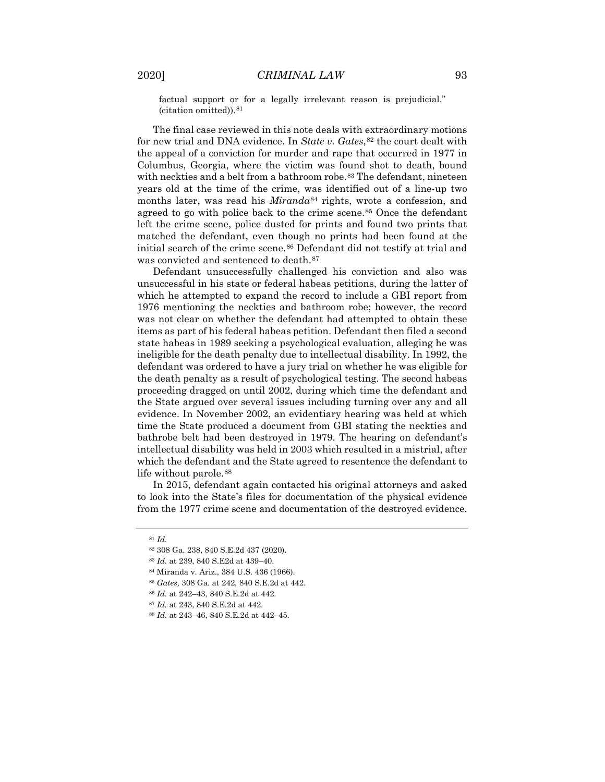factual support or for a legally irrelevant reason is prejudicial."  $(citation omitted)$ .<sup>[81](#page-13-0)</sup>

The final case reviewed in this note deals with extraordinary motions for new trial and DNA evidence. In *State v. Gates*,<sup>[82](#page-13-1)</sup> the court dealt with the appeal of a conviction for murder and rape that occurred in 1977 in Columbus, Georgia, where the victim was found shot to death, bound with neckties and a belt from a bathroom robe.<sup>[83](#page-13-2)</sup> The defendant, nineteen years old at the time of the crime, was identified out of a line-up two months later, was read his *Miranda*<sup>[84](#page-13-3)</sup> rights, wrote a confession, and agreed to go with police back to the crime scene.<sup>[85](#page-13-4)</sup> Once the defendant left the crime scene, police dusted for prints and found two prints that matched the defendant, even though no prints had been found at the initial search of the crime scene.[86](#page-13-5) Defendant did not testify at trial and was convicted and sentenced to death.[87](#page-13-6)

Defendant unsuccessfully challenged his conviction and also was unsuccessful in his state or federal habeas petitions, during the latter of which he attempted to expand the record to include a GBI report from 1976 mentioning the neckties and bathroom robe; however, the record was not clear on whether the defendant had attempted to obtain these items as part of his federal habeas petition. Defendant then filed a second state habeas in 1989 seeking a psychological evaluation, alleging he was ineligible for the death penalty due to intellectual disability. In 1992, the defendant was ordered to have a jury trial on whether he was eligible for the death penalty as a result of psychological testing. The second habeas proceeding dragged on until 2002, during which time the defendant and the State argued over several issues including turning over any and all evidence. In November 2002, an evidentiary hearing was held at which time the State produced a document from GBI stating the neckties and bathrobe belt had been destroyed in 1979. The hearing on defendant's intellectual disability was held in 2003 which resulted in a mistrial, after which the defendant and the State agreed to resentence the defendant to life without parole.<sup>[88](#page-13-7)</sup>

<span id="page-13-0"></span>In 2015, defendant again contacted his original attorneys and asked to look into the State's files for documentation of the physical evidence from the 1977 crime scene and documentation of the destroyed evidence.

<span id="page-13-1"></span><sup>81</sup> *Id.*

<sup>82</sup> 308 Ga. 238, 840 S.E.2d 437 (2020).

<span id="page-13-2"></span><sup>83</sup> *Id.* at 239, 840 S.E2d at 439–40.

<span id="page-13-4"></span><span id="page-13-3"></span><sup>84</sup> Miranda v. Ariz., 384 U.S. 436 (1966).

<sup>85</sup> *Gates,* 308 Ga. at 242, 840 S.E.2d at 442.

<sup>86</sup> *Id.* at 242–43, 840 S.E.2d at 442.

<span id="page-13-7"></span><span id="page-13-6"></span><span id="page-13-5"></span><sup>87</sup> *Id.* at 243, 840 S.E.2d at 442.

<sup>88</sup> *Id.* at 243–46, 840 S.E.2d at 442–45.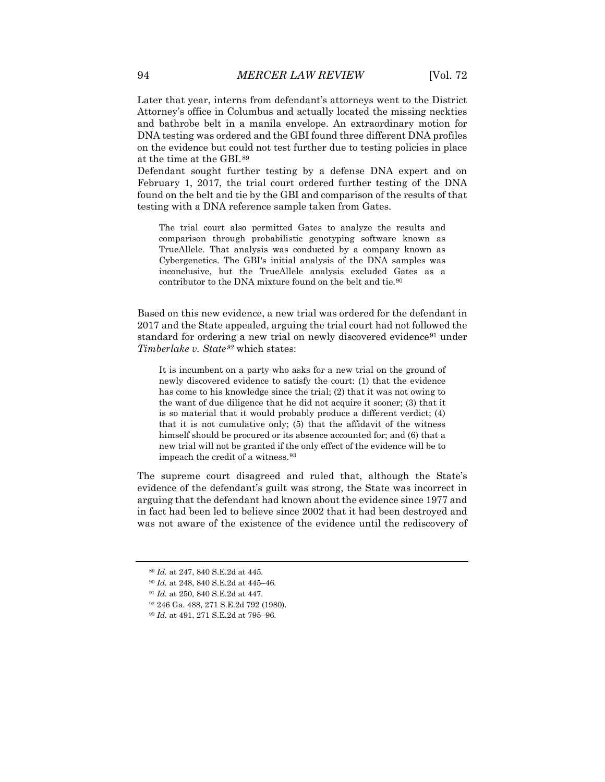Later that year, interns from defendant's attorneys went to the District Attorney's office in Columbus and actually located the missing neckties and bathrobe belt in a manila envelope. An extraordinary motion for DNA testing was ordered and the GBI found three different DNA profiles on the evidence but could not test further due to testing policies in place at the time at the GBI.[89](#page-14-0)

Defendant sought further testing by a defense DNA expert and on February 1, 2017, the trial court ordered further testing of the DNA found on the belt and tie by the GBI and comparison of the results of that testing with a DNA reference sample taken from Gates.

The trial court also permitted Gates to analyze the results and comparison through probabilistic genotyping software known as TrueAllele. That analysis was conducted by a company known as Cybergenetics. The GBI's initial analysis of the DNA samples was inconclusive, but the TrueAllele analysis excluded Gates as a contributor to the DNA mixture found on the belt and tie.<sup>[90](#page-14-1)</sup>

Based on this new evidence, a new trial was ordered for the defendant in 2017 and the State appealed, arguing the trial court had not followed the standard for ordering a new trial on newly discovered evidence<sup>[91](#page-14-2)</sup> under *Timberlake v. State[92](#page-14-3)* which states:

It is incumbent on a party who asks for a new trial on the ground of newly discovered evidence to satisfy the court: (1) that the evidence has come to his knowledge since the trial; (2) that it was not owing to the want of due diligence that he did not acquire it sooner; (3) that it is so material that it would probably produce a different verdict; (4) that it is not cumulative only; (5) that the affidavit of the witness himself should be procured or its absence accounted for; and (6) that a new trial will not be granted if the only effect of the evidence will be to impeach the credit of a witness.[93](#page-14-4)

The supreme court disagreed and ruled that, although the State's evidence of the defendant's guilt was strong, the State was incorrect in arguing that the defendant had known about the evidence since 1977 and in fact had been led to believe since 2002 that it had been destroyed and was not aware of the existence of the evidence until the rediscovery of

<span id="page-14-0"></span><sup>89</sup> *Id.* at 247, 840 S.E.2d at 445.

<span id="page-14-1"></span><sup>90</sup> *Id.* at 248, 840 S.E.2d at 445–46.

<span id="page-14-3"></span><span id="page-14-2"></span><sup>91</sup> *Id.* at 250, 840 S.E.2d at 447.

<sup>92</sup> 246 Ga. 488, 271 S.E.2d 792 (1980).

<span id="page-14-4"></span><sup>93</sup> *Id.* at 491, 271 S.E.2d at 795–96.